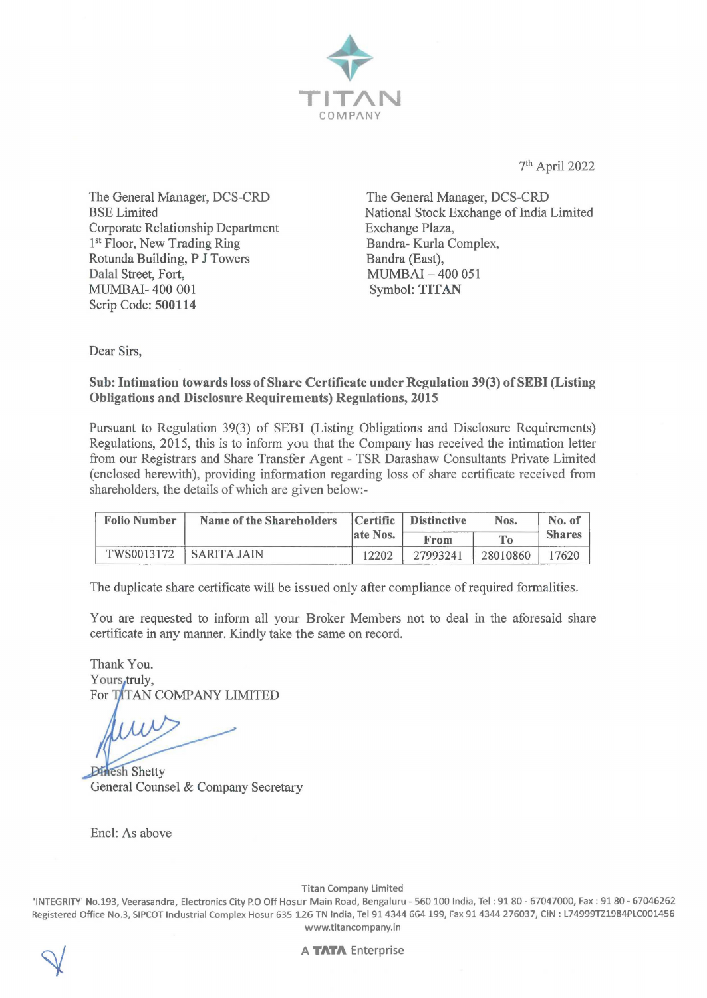

7th April 2022

The General Manager, DCS-CRD BSE Limited Corporate Relationship Department 1<sup>st</sup> Floor, New Trading Ring Rotunda Building, P J Towers Dalal Street, Fort, MUMBAI- 400 001 Scrip Code: **500114** 

The General Manager, DCS-CRD National Stock Exchange of India Limited Exchange Plaza, Bandra- Kurla Complex, Bandra (East), MUMBAI-400 051 Symbol: **TITAN** 

Dear Sirs,

### **Sub: Intimation towards loss of Share Certificate under Regulation 39(3) of SEBI (Listing Obligations and Disclosure Requirements) Regulations, 2015**

Pursuant to Regulation 39(3) of SEBI (Listing Obligations and Disclosure Requirements) Regulations, 2015, this is to inform you that the Company has received the intimation letter from our Registrars and Share Transfer Agent - TSR Darashaw Consultants Private Limited (enclosed herewith), providing information regarding loss of share certificate received from shareholders, the details of which are given below:-

| <b>Folio Number</b> | Name of the Shareholders | Certific  | <b>Distinctive</b> | Nos.     | No. of        |
|---------------------|--------------------------|-----------|--------------------|----------|---------------|
|                     |                          | late Nos. | From               | $T_{0}$  | <b>Shares</b> |
| TWS0013172          | SARITA JAIN              | 12202     | 27993241           | 28010860 | 17620         |

The duplicate share certificate will be issued only after compliance of required formalities.

You are requested to inform all your Broker Members not to deal in the aforesaid share certificate in any manner. Kindly take the same on record.

Thank You. Yours, truly, For TITAN COMPANY LIMITED

**Dinesh Shetty** General Counsel & Company Secretary

Encl: As above

Titan Company Limited

'INTEGRITY' No.193, Veerasandra, Electronics City P.O Off Hosur Main Road, Bengaluru - 560 100 India, Tel : 91 80 - 67047000, Fax : 91 80 - 67046262 Registered Office No.3, SIPCOT Industrial Complex Hosur 635 126 TN India, Tel 914344 664 199, Fax 91 4344 276037, CIN : L74999TZ1984PLC001456 www.titancompany.in



A **TATA** Enterprise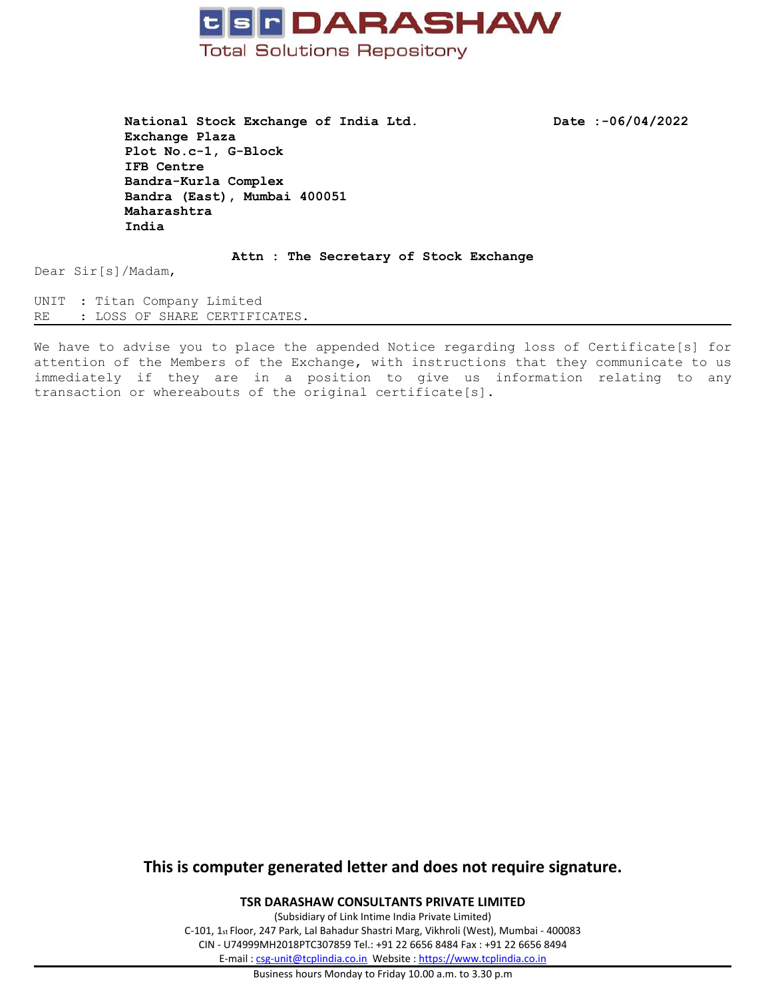

**National Stock Exchange of India Ltd. Date :-06/04/2022 Exchange Plaza Plot No.c-1, G-Block IFB Centre Bandra-Kurla Complex Bandra (East), Mumbai 400051 Maharashtra India**

**Attn : The Secretary of Stock Exchange**

Dear Sir[s]/Madam,

UNIT : Titan Company Limited RE : LOSS OF SHARE CERTIFICATES.

We have to advise you to place the appended Notice regarding loss of Certificate[s] for attention of the Members of the Exchange, with instructions that they communicate to us immediately if they are in <sup>a</sup> position to give us information relating to any transaction or whereabouts of the original certificate[s].

# **This is computer generated letter and does not require signature.**

**TSR DARASHAW CONSULTANTS PRIVATE LIMITED**

(Subsidiary of Link Intime India Private Limited) C-101, 1st Floor, 247 Park, Lal Bahadur Shastri Marg, Vikhroli (West), Mumbai - 400083 CIN - U74999MH2018PTC307859 Tel.: +91 22 6656 8484 Fax : +91 22 6656 8494 E-mail : [csg-unit@tcplindia.co.in](mailto:csg-unit@tcplindia.co.in) Website : <https://www.tcplindia.co.in>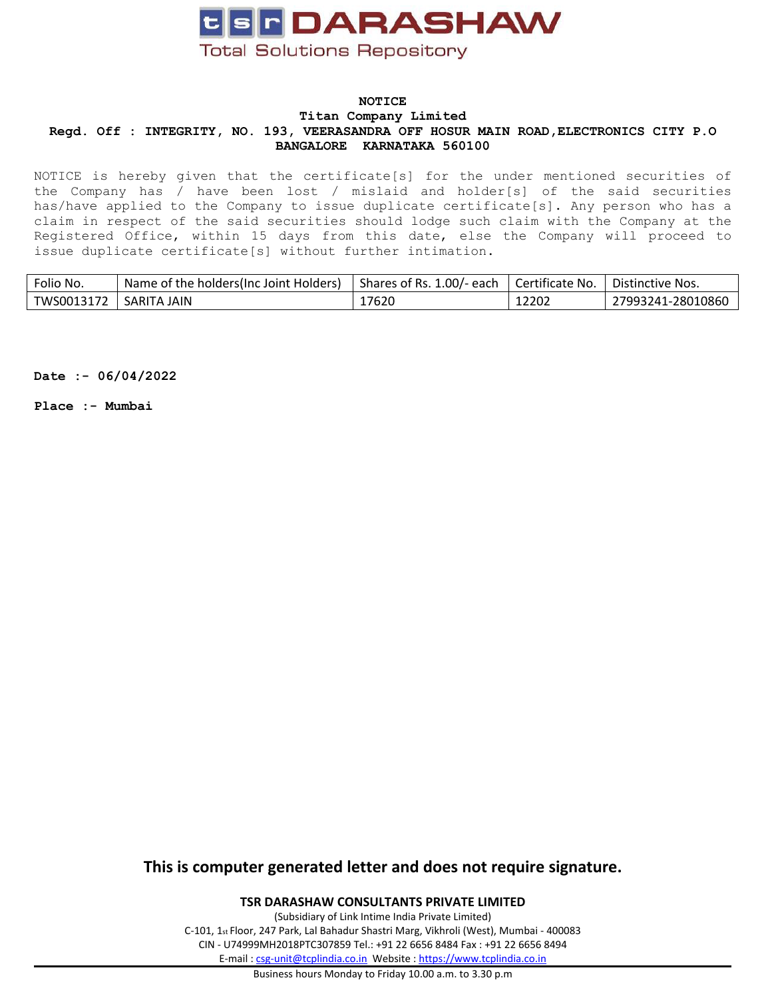

### **NOTICE Titan Company Limited Regd. Off : INTEGRITY, NO. 193, VEERASANDRA OFF HOSUR MAIN ROAD,ELECTRONICS CITY P.O BANGALORE KARNATAKA 560100**

NOTICE is hereby given that the certificate[s] for the under mentioned securities of the Company has / have been lost / mislaid and holder[s] of the said securities has/have applied to the Company to issue duplicate certificate[s]. Any person who has <sup>a</sup> claim in respect of the said securities should lodge such claim with the Company at the Registered Office, within 15 days from this date, else the Company will proceed to issue duplicate certificate[s] without further intimation.

| Folio No.              | Name of the holders(Inc Joint Holders) | Shares of Rs. 1.00/- each $\parallel$ | l Certificate No. | Distinctive Nos.  |
|------------------------|----------------------------------------|---------------------------------------|-------------------|-------------------|
| TWS0013172 SARITA JAIN |                                        | 17620                                 | 12202             | 27993241-28010860 |

**Date :- 06/04/2022**

**Place :- Mumbai**

# **This is computer generated letter and does not require signature.**

**TSR DARASHAW CONSULTANTS PRIVATE LIMITED**

(Subsidiary of Link Intime India Private Limited) C-101, 1st Floor, 247 Park, Lal Bahadur Shastri Marg, Vikhroli (West), Mumbai - 400083 CIN - U74999MH2018PTC307859 Tel.: +91 22 6656 8484 Fax : +91 22 6656 8494 E-mail : [csg-unit@tcplindia.co.in](mailto:csg-unit@tcplindia.co.in) Website : <https://www.tcplindia.co.in>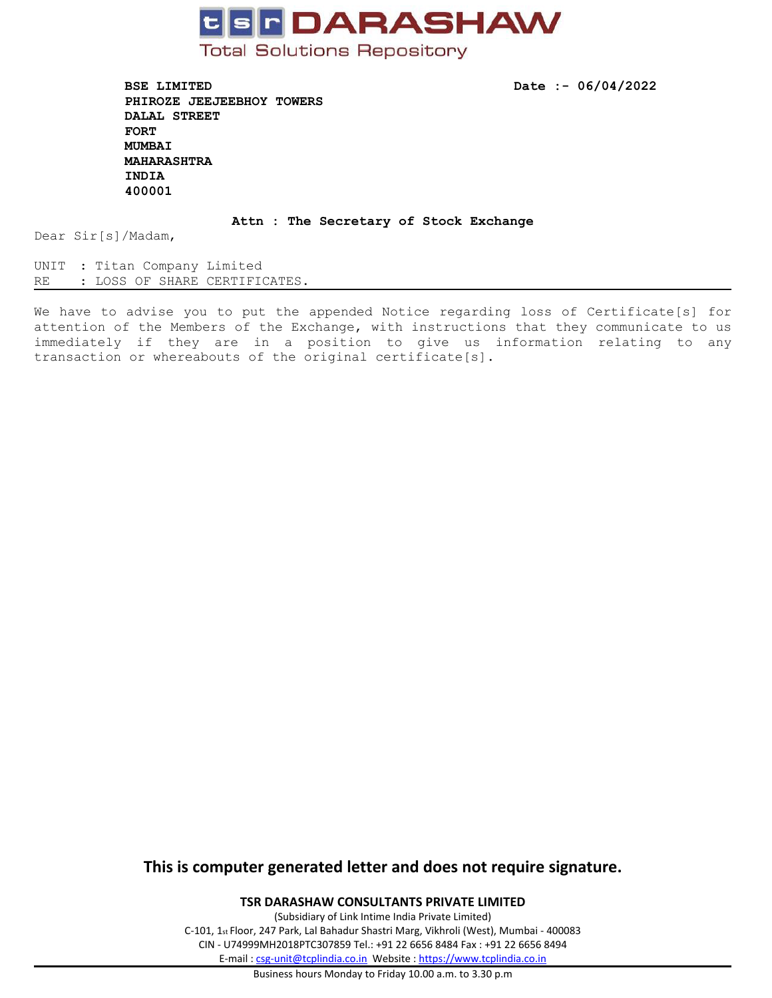

**BSE LIMITED Date :- 06/04/2022 PHIROZE JEEJEEBHOY TOWERS DALAL STREET FORT MUMBAI MAHARASHTRA INDIA 400001**

#### **Attn : The Secretary of Stock Exchange**

Dear Sir[s]/Madam,

UNIT : Titan Company Limited RE : LOSS OF SHARE CERTIFICATES.

We have to advise you to put the appended Notice regarding loss of Certificate[s] for attention of the Members of the Exchange, with instructions that they communicate to us immediately if they are in <sup>a</sup> position to give us information relating to any transaction or whereabouts of the original certificate[s].

# **This is computer generated letter and does not require signature.**

**TSR DARASHAW CONSULTANTS PRIVATE LIMITED**

(Subsidiary of Link Intime India Private Limited) C-101, 1st Floor, 247 Park, Lal Bahadur Shastri Marg, Vikhroli (West), Mumbai - 400083 CIN - U74999MH2018PTC307859 Tel.: +91 22 6656 8484 Fax : +91 22 6656 8494 E-mail : [csg-unit@tcplindia.co.in](mailto:csg-unit@tcplindia.co.in) Website : <https://www.tcplindia.co.in>